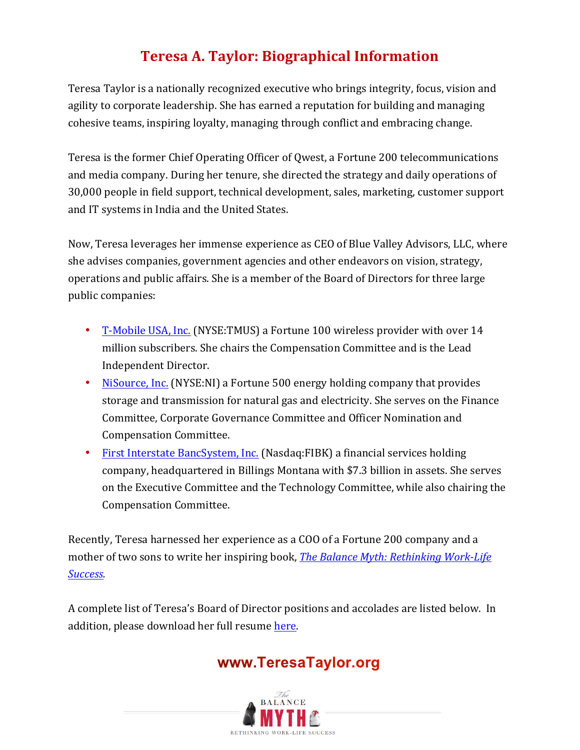# **Teresa A. Taylor: Biographical Information**

Teresa Taylor is a nationally recognized executive who brings integrity, focus, vision and agility to corporate leadership. She has earned a reputation for building and managing cohesive teams, inspiring loyalty, managing through conflict and embracing change.

Teresa is the former Chief Operating Officer of Qwest, a Fortune 200 telecommunications and media company. During her tenure, she directed the strategy and daily operations of 30,000 people in field support, technical development, sales, marketing, customer support and IT systems in India and the United States.

Now, Teresa leverages her immense experience as CEO of Blue Valley Advisors, LLC, where she advises companies, government agencies and other endeavors on vision, strategy, operations and public affairs. She is a member of the Board of Directors for three large public companies:

- T-Mobile USA, Inc. (NYSE:TMUS) a Fortune 100 wireless provider with over 14 million subscribers. She chairs the Compensation Committee and is the Lead Independent Director.
- NiSource, Inc. (NYSE:NI) a Fortune 500 energy holding company that provides storage and transmission for natural gas and electricity. She serves on the Finance Committee, Corporate Governance Committee and Officer Nomination and Compensation Committee.
- First Interstate BancSystem, Inc. (Nasdaq:FIBK) a financial services holding company, headquartered in Billings Montana with \$7.3 billion in assets. She serves on the Executive Committee and the Technology Committee, while also chairing the Compensation Committee.

Recently, Teresa harnessed her experience as a COO of a Fortune 200 company and a mother of two sons to write her inspiring book, *The Balance Myth: Rethinking Work-Life Success.*

A complete list of Teresa's Board of Director positions and accolades are listed below. In addition, please download her full resume here.

## www.TeresaTaylor.org